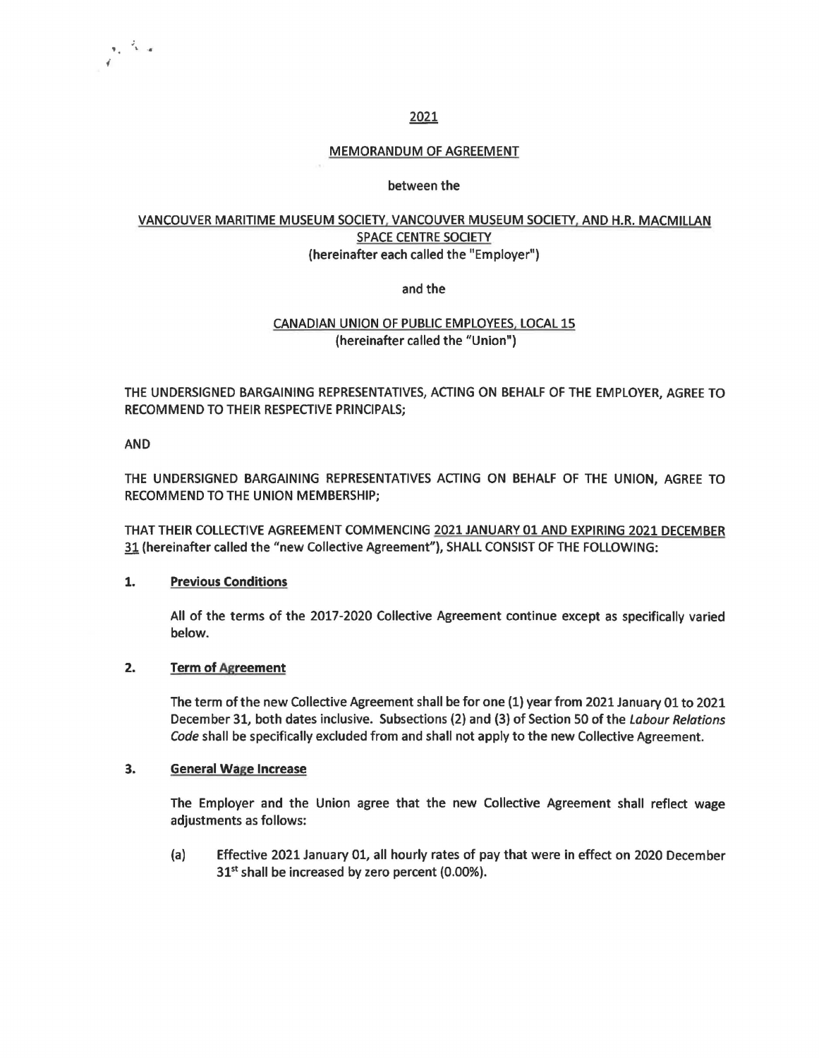## 2021

## MEMORANDUM OF AGREEMENT

## between the

# VANCOUVER MARITIME MUSEUM SOCIETY. VANCOUVER MUSEUM SOCIETY, AND H.R. MACMILLAN SPACE CENTRE SOCIETY (hereinafter each called the "Employer")

and the

# CANADIAN UNION OF PUBLIC EMPLOYEES, LOCAL 15 (hereinafter called the "Union")

THE UNDERSIGNED BARGAINING REPRESENTATIVES, ACTING ON BEHALF OF THE EMPLOYER, AGREE TO RECOMMEND TO THEIR RESPECTIVE PRINCIPALS;

AND

 $\sigma_{\rm e} = \frac{J_{\rm e}}{2\pi}$  or

THE UNDERSIGNED BARGAINING REPRESENTATIVES ACTING ON BEHALF OF THE UNION, AGREE TO RECOMMEND TO THE UNION MEMBERSHIP;

THAT THEIR COLLECTIVE AGREEMENT COMMENCING 2021 JANUARY 01 AND EXPIRING 2021 DECEMBER 31 (hereinafter called the "new Collective Agreement"), SHALL CONSIST OF THE FOLLOWING:

### **1. Previous Conditions**

All of the terms of the 2017-2020 Collective Agreement continue except as specifically varied below.

### **2. Term of Agreement**

The term of the new Collective Agreement shall be for one (1) year from 2021 January 01 to 2021 December 31, both dates inclusive. Subsections (2) and (3) of Section 50 of the labour Relations Code shall be specifically excluded from and shall not apply to the new Collective Agreement.

#### **3. General Wage Increase**

The Employer and the Union agree that the new Collective Agreement shall reflect wage adjustments as follows:

(a) Effective 2021 January 01, all hourly rates of pay that were in effect on 2020 December  $31<sup>st</sup>$  shall be increased by zero percent (0.00%).